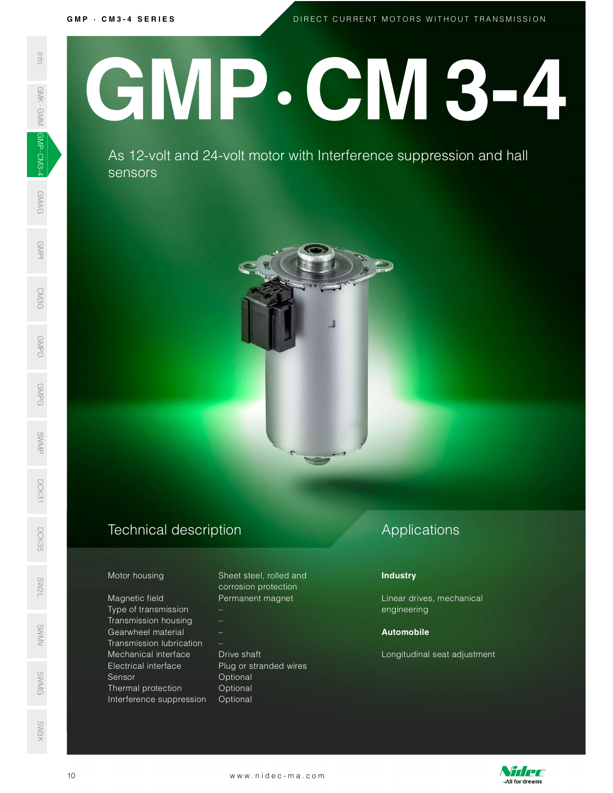GMP · CM3-4 SERIES<br>DIRECT

D I R E C T C U R R E N T M O T O R S W I T H O U T T R A N S M I S S I O N

# SEE AS 12-volt<br>
SEE AS 12-volt<br>
SEE AS 12-volt<br>
SEE AS 12-volt<br>
SEE AS 12-volt<br>
SEE AS 12-volt<br>
SEE AS 12-volt<br>
SEE AS 12-volt<br>
SEE AS 12-volt<br>
SEE AS 12-volt<br>
SEE AS 12-volt<br>
Magnetic field<br>
Magnetic field<br>
Transmission l GMP.CM3-4

 $\frac{1}{2}$  As 12-volt and 24-volt motor with Interference suppression and hall sensors



## Technical description D<sub>CK</sub><br>35<br>55

Magnetic field **Permanent magnet** Type of transmission – Transmission housing – Gearwheel material – SWMV Transmission lubrication – Mechanical interface Drive shaft Electrical interface Plug or stranded wires Sensor **Optional** ©<br>
Sensor Coptional<br>
SMG Defined protection Optional Interference suppression Optional Mechanical interface Drive shaft<br>
Electrical interface Plug or stranded wires<br>
Sensor<br>
Thermal protection Optional<br>
Interference suppression Optional<br>
10 www.nidec-ma.com

Motor housing Sheet steel, rolled and corrosion protection

# Applications

### **Industry**

Linear drives, mechanical engineering

### Automobile

Longitudinal seat adjustment



SW3K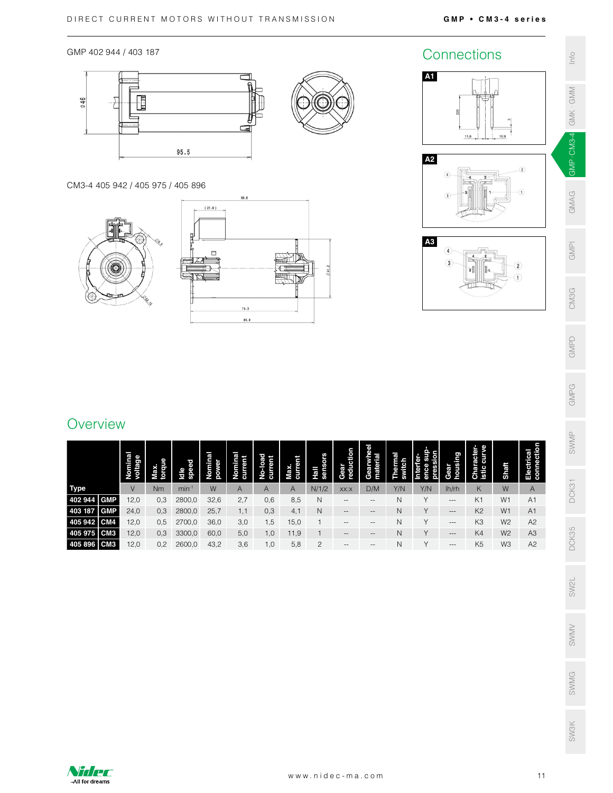GMP 402 944 / 403 187



CM3-4 405 942 / 405 975 / 405 896





# GMPI CM3G SW3K SWMA SW2L DCK35 DCK31 SWMP GMPG GMPD CM3G GMPI GMAG <mark>GMP-CM3-4</mark>-GMK·GMM Info<br>SM3K SWMG SW2L DCK35 DCK31 SWMP<br>.

GMPD

GMPG

SWMV

# **Overview**

|                                                                 |                    |                |               |                  |                    |                    |                 |                 |                   |                                                |                   |                                    |                                     |                           |                |                          | GMPG  |
|-----------------------------------------------------------------|--------------------|----------------|---------------|------------------|--------------------|--------------------|-----------------|-----------------|-------------------|------------------------------------------------|-------------------|------------------------------------|-------------------------------------|---------------------------|----------------|--------------------------|-------|
| Overview                                                        |                    |                |               |                  |                    |                    |                 |                 |                   |                                                |                   |                                    |                                     |                           |                |                          |       |
|                                                                 | Nominal<br>voltage |                |               | Nominal<br>power | Nominal<br>current | No-load<br>current | Max.<br>current | Hall<br>sensors | Gear<br>reduction | Gearwheel<br>material                          | Thermal<br>switch | Interfer-<br>ence sup-<br>pression | Gear<br>housing                     | Character-<br>istic curve |                | Electrical<br>connection | SWMP  |
|                                                                 |                    | Max.<br>torque | Idle<br>speed |                  |                    |                    |                 |                 |                   |                                                |                   |                                    |                                     |                           | Shaft          |                          |       |
|                                                                 | V                  | Nm             | $min-1$       | W                | A                  | A                  | A               | N/1/2           | XX:X              | D/M                                            | Y/N               | Y/N                                | lh/rh                               | Κ                         | W              | A                        |       |
|                                                                 |                    |                |               |                  |                    |                    |                 |                 |                   |                                                |                   |                                    |                                     |                           |                |                          |       |
| <b>GMP</b>                                                      | 12,0               | 0,3            | 2800,0        | 32,6             | 2,7                | 0,6                | 8,5             | N               | $\qquad \qquad -$ | $\hspace{0.05cm} -$                            | N                 |                                    | $\hspace{0.05cm}---\hspace{0.05cm}$ | K <sub>1</sub>            | W1             | A1                       | DCK31 |
| <b>GMP</b>                                                      | 24,0               | 0,3            | 2800,0        | 25,7             | 1,1                | 0,3                | 4,1             | $\mathsf{N}$    | $\qquad \qquad -$ | $\hspace{0.1mm}-\hspace{0.1mm}-\hspace{0.1mm}$ | $\mathsf{N}$      | Y                                  | $-\, -\, -$                         | K <sub>2</sub>            | W1             | A1                       |       |
| <b>Type</b><br>402 944<br>403 187<br>405 942<br>CM <sub>4</sub> | 12,0               | 0,5            | 2700,0        | 36,0             | 3,0                | 1,5                | 15,0            |                 | $\qquad \qquad -$ | $\qquad \qquad -$                              | $\mathsf{N}$      | $\vee$                             | $---$                               | K <sub>3</sub>            | W <sub>2</sub> | A2                       |       |
| 405 975 CM3<br>CM <sub>3</sub>                                  | 12,0               | 0,3            | 3300,0        | 60,0             | 5,0                | 1,0                | 11,9            |                 | $\qquad \qquad -$ | $\overline{\phantom{m}}$                       | N                 | $\vee$                             | $\cdots$                            | K4                        | W <sub>2</sub> | A <sub>3</sub>           | DCK35 |



SWMG